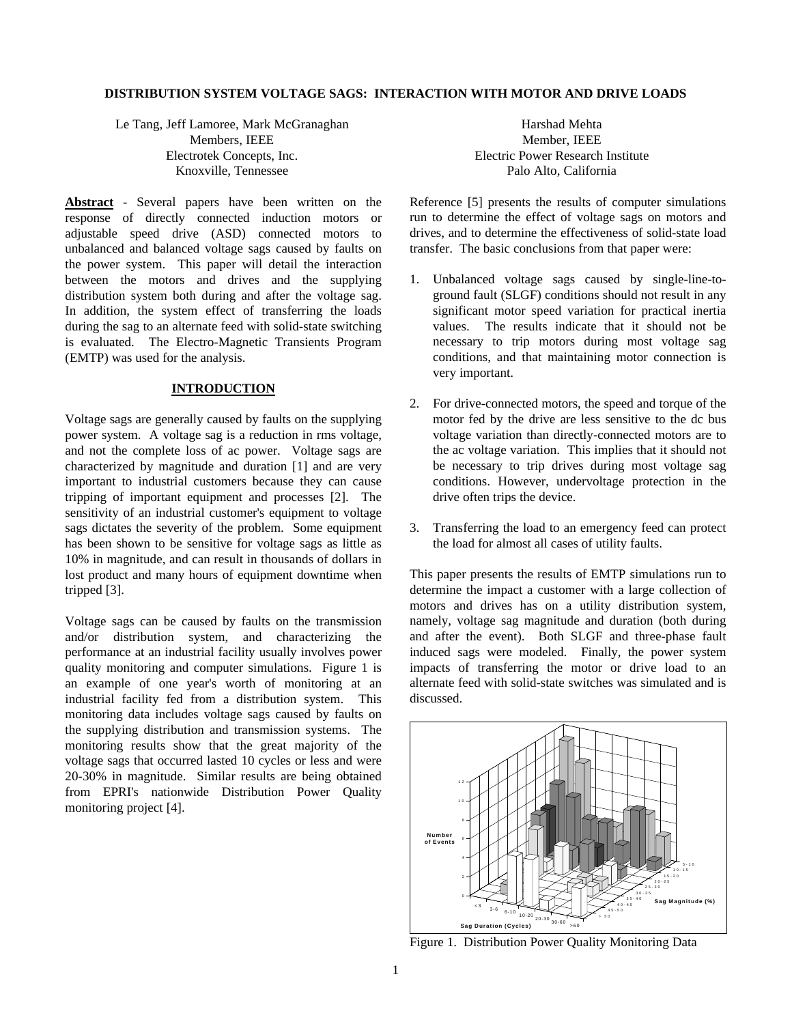### **DISTRIBUTION SYSTEM VOLTAGE SAGS: INTERACTION WITH MOTOR AND DRIVE LOADS**

Le Tang, Jeff Lamoree, Mark McGranaghan Members, IEEE Electrotek Concepts, Inc. Knoxville, Tennessee

**Abstract** - Several papers have been written on the response of directly connected induction motors or adjustable speed drive (ASD) connected motors to unbalanced and balanced voltage sags caused by faults on the power system. This paper will detail the interaction between the motors and drives and the supplying distribution system both during and after the voltage sag. In addition, the system effect of transferring the loads during the sag to an alternate feed with solid-state switching is evaluated. The Electro-Magnetic Transients Program (EMTP) was used for the analysis.

### **INTRODUCTION**

Voltage sags are generally caused by faults on the supplying power system. A voltage sag is a reduction in rms voltage, and not the complete loss of ac power. Voltage sags are characterized by magnitude and duration [1] and are very important to industrial customers because they can cause tripping of important equipment and processes [2]. The sensitivity of an industrial customer's equipment to voltage sags dictates the severity of the problem. Some equipment has been shown to be sensitive for voltage sags as little as 10% in magnitude, and can result in thousands of dollars in lost product and many hours of equipment downtime when tripped [3].

Voltage sags can be caused by faults on the transmission and/or distribution system, and characterizing the performance at an industrial facility usually involves power quality monitoring and computer simulations. Figure 1 is an example of one year's worth of monitoring at an industrial facility fed from a distribution system. This monitoring data includes voltage sags caused by faults on the supplying distribution and transmission systems. The monitoring results show that the great majority of the voltage sags that occurred lasted 10 cycles or less and were 20-30% in magnitude. Similar results are being obtained from EPRI's nationwide Distribution Power Quality monitoring project [4].

Harshad Mehta Member, IEEE Electric Power Research Institute Palo Alto, California

Reference [5] presents the results of computer simulations run to determine the effect of voltage sags on motors and drives, and to determine the effectiveness of solid-state load transfer. The basic conclusions from that paper were:

- 1. Unbalanced voltage sags caused by single-line-toground fault (SLGF) conditions should not result in any significant motor speed variation for practical inertia values. The results indicate that it should not be necessary to trip motors during most voltage sag conditions, and that maintaining motor connection is very important.
- 2. For drive-connected motors, the speed and torque of the motor fed by the drive are less sensitive to the dc bus voltage variation than directly-connected motors are to the ac voltage variation. This implies that it should not be necessary to trip drives during most voltage sag conditions. However, undervoltage protection in the drive often trips the device.
- 3. Transferring the load to an emergency feed can protect the load for almost all cases of utility faults.

This paper presents the results of EMTP simulations run to determine the impact a customer with a large collection of motors and drives has on a utility distribution system, namely, voltage sag magnitude and duration (both during and after the event). Both SLGF and three-phase fault induced sags were modeled. Finally, the power system impacts of transferring the motor or drive load to an alternate feed with solid-state switches was simulated and is discussed.



Figure 1. Distribution Power Quality Monitoring Data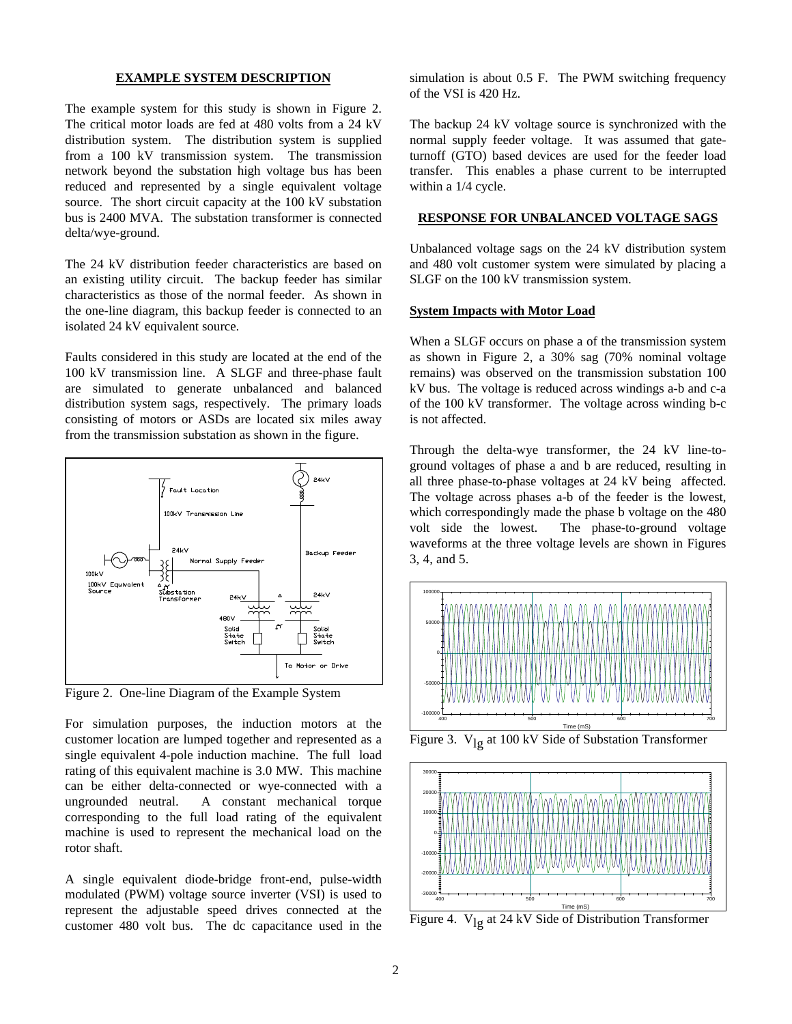### **EXAMPLE SYSTEM DESCRIPTION**

The example system for this study is shown in Figure 2. The critical motor loads are fed at 480 volts from a 24 kV distribution system. The distribution system is supplied from a 100 kV transmission system. The transmission network beyond the substation high voltage bus has been reduced and represented by a single equivalent voltage source. The short circuit capacity at the 100 kV substation bus is 2400 MVA. The substation transformer is connected delta/wye-ground.

The 24 kV distribution feeder characteristics are based on an existing utility circuit. The backup feeder has similar characteristics as those of the normal feeder. As shown in the one-line diagram, this backup feeder is connected to an isolated 24 kV equivalent source.

Faults considered in this study are located at the end of the 100 kV transmission line. A SLGF and three-phase fault are simulated to generate unbalanced and balanced distribution system sags, respectively. The primary loads consisting of motors or ASDs are located six miles away from the transmission substation as shown in the figure.



Figure 2. One-line Diagram of the Example System

For simulation purposes, the induction motors at the customer location are lumped together and represented as a single equivalent 4-pole induction machine. The full load rating of this equivalent machine is 3.0 MW. This machine can be either delta-connected or wye-connected with a ungrounded neutral. A constant mechanical torque corresponding to the full load rating of the equivalent machine is used to represent the mechanical load on the rotor shaft.

A single equivalent diode-bridge front-end, pulse-width modulated (PWM) voltage source inverter (VSI) is used to represent the adjustable speed drives connected at the customer 480 volt bus. The dc capacitance used in the simulation is about 0.5 F. The PWM switching frequency of the VSI is 420 Hz.

The backup 24 kV voltage source is synchronized with the normal supply feeder voltage. It was assumed that gateturnoff (GTO) based devices are used for the feeder load transfer. This enables a phase current to be interrupted within a 1/4 cycle.

#### **RESPONSE FOR UNBALANCED VOLTAGE SAGS**

Unbalanced voltage sags on the 24 kV distribution system and 480 volt customer system were simulated by placing a SLGF on the 100 kV transmission system.

#### **System Impacts with Motor Load**

When a SLGF occurs on phase a of the transmission system as shown in Figure 2, a 30% sag (70% nominal voltage remains) was observed on the transmission substation 100 kV bus. The voltage is reduced across windings a-b and c-a of the 100 kV transformer. The voltage across winding b-c is not affected.

Through the delta-wye transformer, the 24 kV line-toground voltages of phase a and b are reduced, resulting in all three phase-to-phase voltages at 24 kV being affected. The voltage across phases a-b of the feeder is the lowest, which correspondingly made the phase b voltage on the 480 volt side the lowest. The phase-to-ground voltage waveforms at the three voltage levels are shown in Figures 3, 4, and 5.



Figure 3.  $V_{lg}$  at 100 kV Side of Substation Transformer



Figure 4.  $V_{1\sigma}$  at 24 kV Side of Distribution Transformer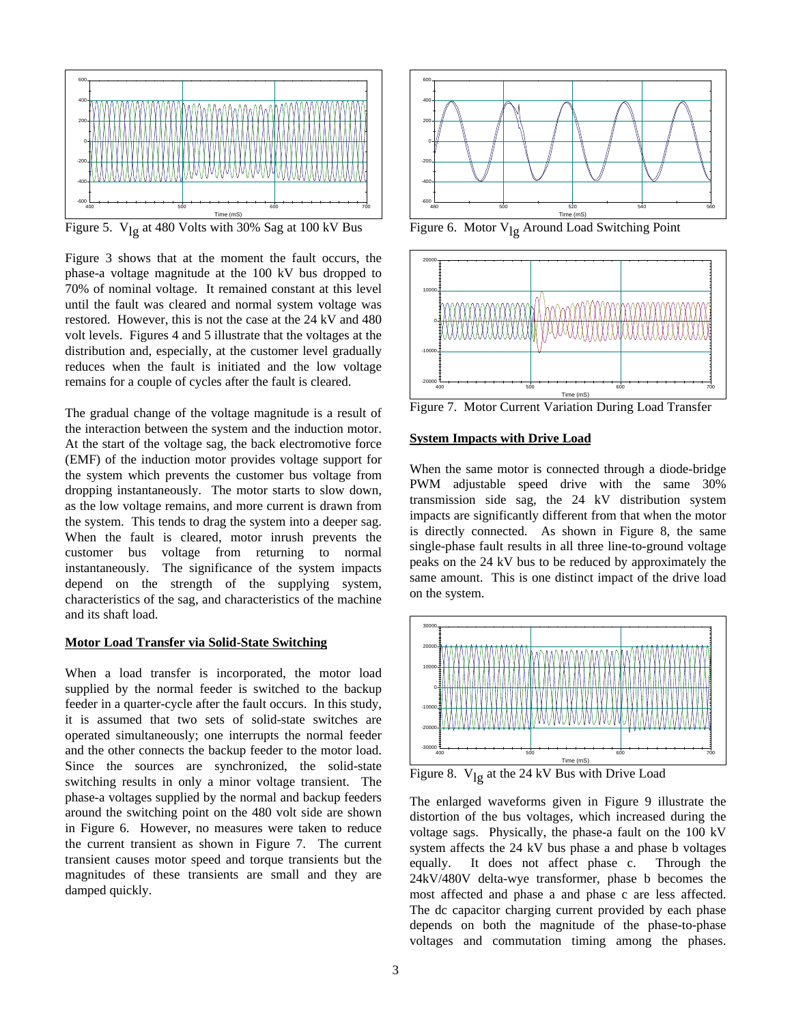

Time (ms)<br>Figure 5.  $\rm V_{lg}$  at 480 Volts with 30% Sag at 100 kV Bus

Figure 3 shows that at the moment the fault occurs, the phase-a voltage magnitude at the 100 kV bus dropped to 70% of nominal voltage. It remained constant at this level until the fault was cleared and normal system voltage was restored. However, this is not the case at the 24 kV and 480 volt levels. Figures 4 and 5 illustrate that the voltages at the distribution and, especially, at the customer level gradually reduces when the fault is initiated and the low voltage remains for a couple of cycles after the fault is cleared.

The gradual change of the voltage magnitude is a result of the interaction between the system and the induction motor. At the start of the voltage sag, the back electromotive force (EMF) of the induction motor provides voltage support for the system which prevents the customer bus voltage from dropping instantaneously. The motor starts to slow down, as the low voltage remains, and more current is drawn from the system. This tends to drag the system into a deeper sag. When the fault is cleared, motor inrush prevents the customer bus voltage from returning to normal instantaneously. The significance of the system impacts depend on the strength of the supplying system, characteristics of the sag, and characteristics of the machine and its shaft load.

### **Motor Load Transfer via Solid-State Switching**

When a load transfer is incorporated, the motor load supplied by the normal feeder is switched to the backup feeder in a quarter-cycle after the fault occurs. In this study, it is assumed that two sets of solid-state switches are operated simultaneously; one interrupts the normal feeder and the other connects the backup feeder to the motor load. Since the sources are synchronized, the solid-state switching results in only a minor voltage transient. The phase-a voltages supplied by the normal and backup feeders around the switching point on the 480 volt side are shown in Figure 6. However, no measures were taken to reduce the current transient as shown in Figure 7. The current transient causes motor speed and torque transients but the magnitudes of these transients are small and they are damped quickly.



Figure 6. Motor  $V_{lg}$  Around Load Switching Point



Figure 7. Motor Current Variation During Load Transfer

### **System Impacts with Drive Load**

When the same motor is connected through a diode-bridge PWM adjustable speed drive with the same 30% transmission side sag, the 24 kV distribution system impacts are significantly different from that when the motor is directly connected. As shown in Figure 8, the same single-phase fault results in all three line-to-ground voltage peaks on the 24 kV bus to be reduced by approximately the same amount. This is one distinct impact of the drive load on the system.



Figure 8.  $V_{\lg}$  at the 24 kV Bus with Drive Load

The enlarged waveforms given in Figure 9 illustrate the distortion of the bus voltages, which increased during the voltage sags. Physically, the phase-a fault on the 100 kV system affects the 24 kV bus phase a and phase b voltages equally. It does not affect phase c. Through the 24kV/480V delta-wye transformer, phase b becomes the most affected and phase a and phase c are less affected. The dc capacitor charging current provided by each phase depends on both the magnitude of the phase-to-phase voltages and commutation timing among the phases.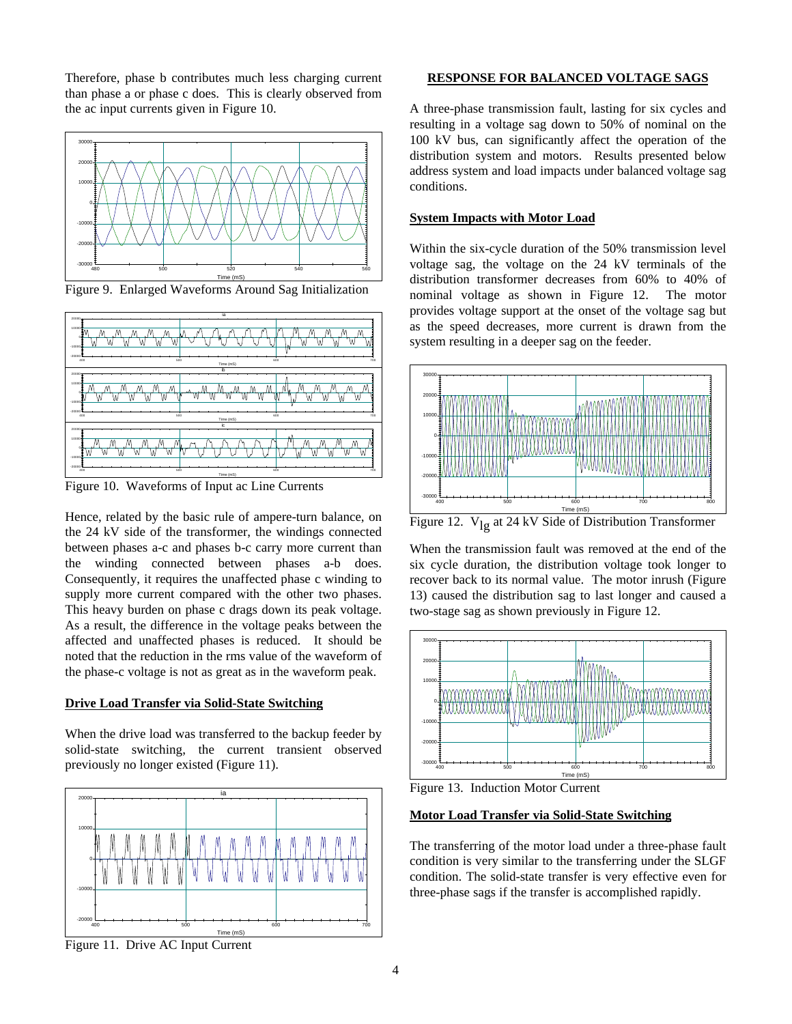Therefore, phase b contributes much less charging current than phase a or phase c does. This is clearly observed from the ac input currents given in Figure 10.



Figure 9. Enlarged Waveforms Around Sag Initialization



Figure 10. Waveforms of Input ac Line Currents

Hence, related by the basic rule of ampere-turn balance, on the 24 kV side of the transformer, the windings connected between phases a-c and phases b-c carry more current than the winding connected between phases a-b does. Consequently, it requires the unaffected phase c winding to supply more current compared with the other two phases. This heavy burden on phase c drags down its peak voltage. As a result, the difference in the voltage peaks between the affected and unaffected phases is reduced. It should be noted that the reduction in the rms value of the waveform of the phase-c voltage is not as great as in the waveform peak.

## **Drive Load Transfer via Solid-State Switching**

When the drive load was transferred to the backup feeder by solid-state switching, the current transient observed previously no longer existed (Figure 11).



## **RESPONSE FOR BALANCED VOLTAGE SAGS**

A three-phase transmission fault, lasting for six cycles and resulting in a voltage sag down to 50% of nominal on the 100 kV bus, can significantly affect the operation of the distribution system and motors. Results presented below address system and load impacts under balanced voltage sag conditions.

### **System Impacts with Motor Load**

Within the six-cycle duration of the 50% transmission level voltage sag, the voltage on the 24 kV terminals of the distribution transformer decreases from 60% to 40% of nominal voltage as shown in Figure 12. The motor provides voltage support at the onset of the voltage sag but as the speed decreases, more current is drawn from the system resulting in a deeper sag on the feeder.



Figure 12.  $V_{\text{lg}}$  at 24 kV Side of Distribution Transformer

When the transmission fault was removed at the end of the six cycle duration, the distribution voltage took longer to recover back to its normal value. The motor inrush (Figure 13) caused the distribution sag to last longer and caused a two-stage sag as shown previously in Figure 12.



Figure 13. Induction Motor Current

### **Motor Load Transfer via Solid-State Switching**

The transferring of the motor load under a three-phase fault condition is very similar to the transferring under the SLGF condition. The solid-state transfer is very effective even for three-phase sags if the transfer is accomplished rapidly.

Figure 11. Drive AC Input Current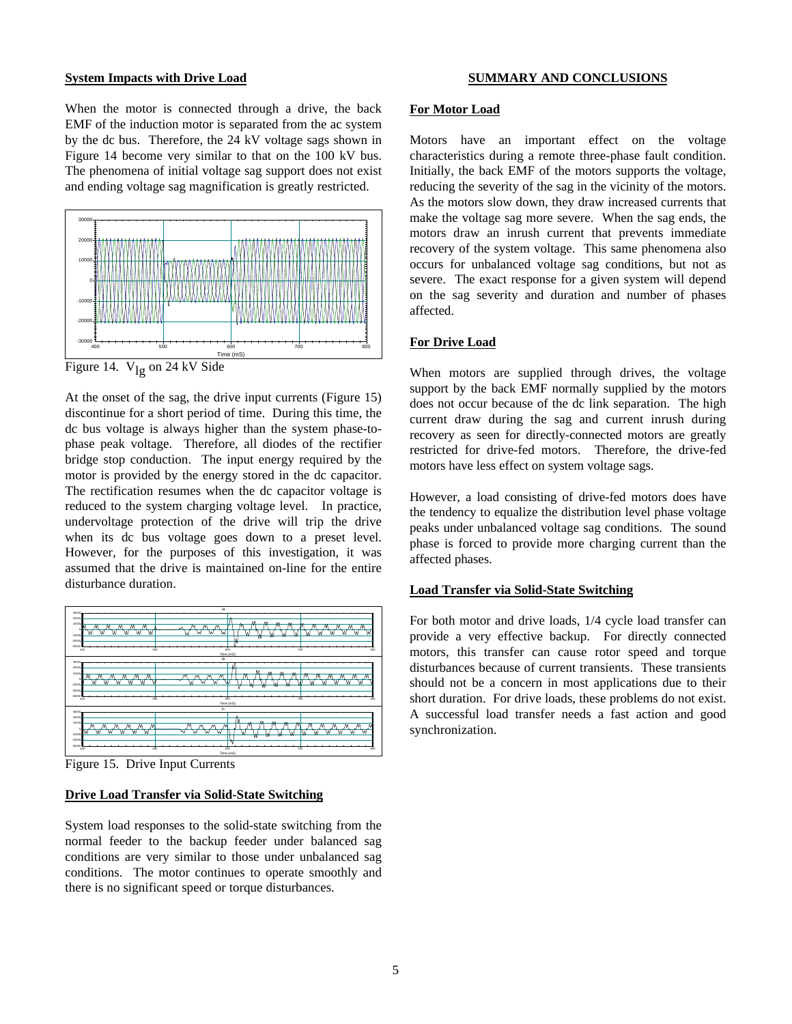### **System Impacts with Drive Load**

**SUMMARY AND CONCLUSIONS**

When the motor is connected through a drive, the back EMF of the induction motor is separated from the ac system by the dc bus. Therefore, the 24 kV voltage sags shown in Figure 14 become very similar to that on the 100 kV bus. The phenomena of initial voltage sag support does not exist and ending voltage sag magnification is greatly restricted.

![](_page_4_Figure_3.jpeg)

Figure 14.  $V_{\text{lg}}$  on 24 kV Side

At the onset of the sag, the drive input currents (Figure 15) discontinue for a short period of time. During this time, the dc bus voltage is always higher than the system phase-tophase peak voltage. Therefore, all diodes of the rectifier bridge stop conduction. The input energy required by the motor is provided by the energy stored in the dc capacitor. The rectification resumes when the dc capacitor voltage is reduced to the system charging voltage level. In practice, undervoltage protection of the drive will trip the drive when its dc bus voltage goes down to a preset level. However, for the purposes of this investigation, it was assumed that the drive is maintained on-line for the entire disturbance duration.

![](_page_4_Figure_6.jpeg)

Figure 15. Drive Input Currents

#### **Drive Load Transfer via Solid-State Switching**

System load responses to the solid-state switching from the normal feeder to the backup feeder under balanced sag conditions are very similar to those under unbalanced sag conditions. The motor continues to operate smoothly and there is no significant speed or torque disturbances.

#### **For Motor Load**

Motors have an important effect on the voltage characteristics during a remote three-phase fault condition. Initially, the back EMF of the motors supports the voltage, reducing the severity of the sag in the vicinity of the motors. As the motors slow down, they draw increased currents that make the voltage sag more severe. When the sag ends, the motors draw an inrush current that prevents immediate recovery of the system voltage. This same phenomena also occurs for unbalanced voltage sag conditions, but not as severe. The exact response for a given system will depend on the sag severity and duration and number of phases affected.

## **For Drive Load**

When motors are supplied through drives, the voltage support by the back EMF normally supplied by the motors does not occur because of the dc link separation. The high current draw during the sag and current inrush during recovery as seen for directly-connected motors are greatly restricted for drive-fed motors. Therefore, the drive-fed motors have less effect on system voltage sags.

However, a load consisting of drive-fed motors does have the tendency to equalize the distribution level phase voltage peaks under unbalanced voltage sag conditions. The sound phase is forced to provide more charging current than the affected phases.

## **Load Transfer via Solid-State Switching**

For both motor and drive loads, 1/4 cycle load transfer can provide a very effective backup. For directly connected motors, this transfer can cause rotor speed and torque disturbances because of current transients. These transients should not be a concern in most applications due to their short duration. For drive loads, these problems do not exist. A successful load transfer needs a fast action and good synchronization.